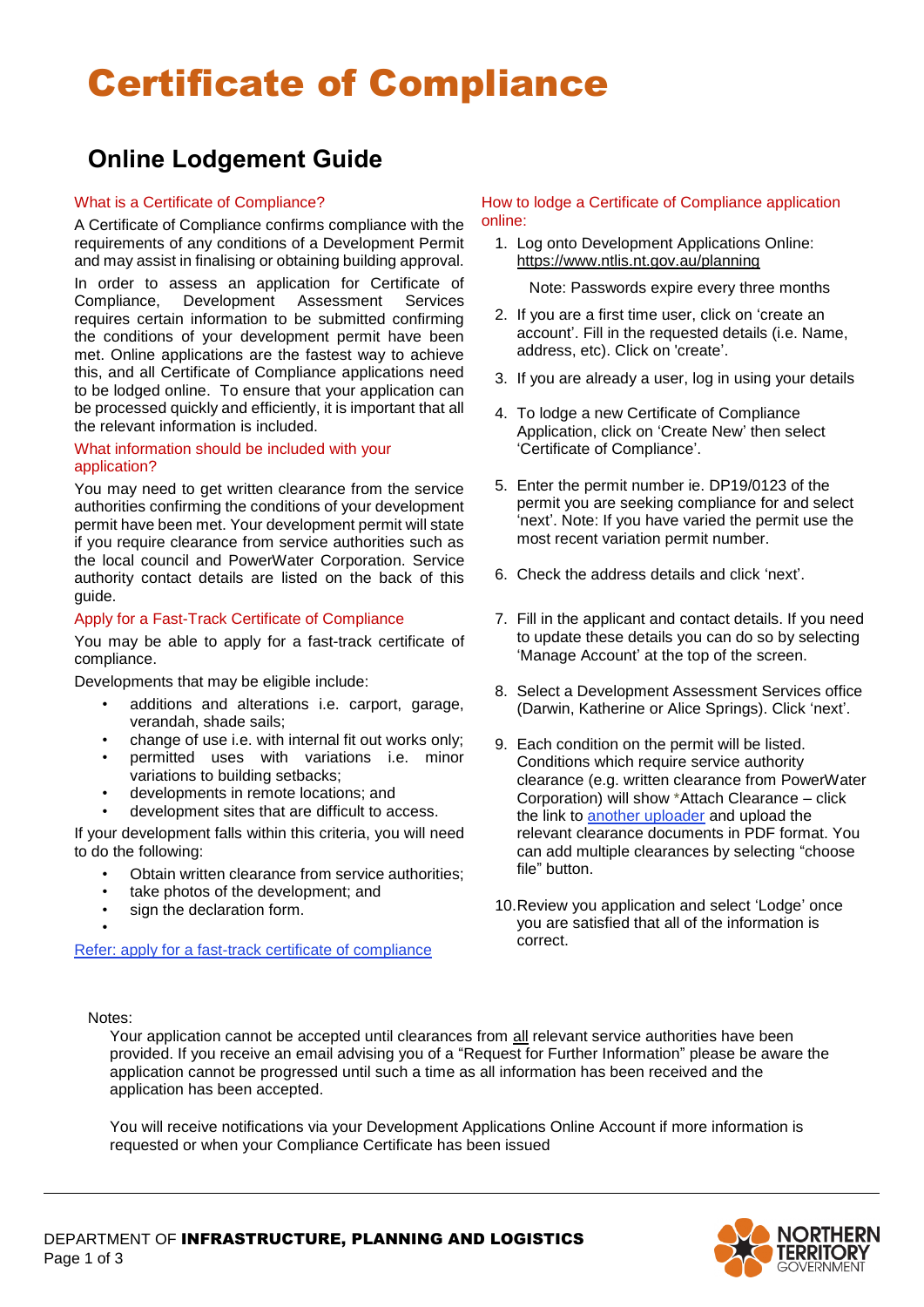# Certificate of Compliance

### **Online Lodgement Guide**

#### What is a Certificate of Compliance?

A Certificate of Compliance confirms compliance with the requirements of any conditions of a Development Permit and may assist in finalising or obtaining building approval.

In order to assess an application for Certificate of Compliance, Development Assessment Services requires certain information to be submitted confirming the conditions of your development permit have been met. Online applications are the fastest way to achieve this, and all Certificate of Compliance applications need to be lodged online. To ensure that your application can be processed quickly and efficiently, it is important that all the relevant information is included.

#### What information should be included with your application?

You may need to get written clearance from the service authorities confirming the conditions of your development permit have been met. Your development permit will state if you require clearance from service authorities such as the local council and PowerWater Corporation. Service authority contact details are listed on the back of this guide.

#### Apply for a Fast-Track Certificate of Compliance

You may be able to apply for a fast-track certificate of compliance.

Developments that may be eligible include:

- additions and alterations i.e. carport, garage, verandah, shade sails;
- change of use i.e. with internal fit out works only;
- permitted uses with variations i.e. minor variations to building setbacks;
- developments in remote locations; and
- development sites that are difficult to access.

If your development falls within this criteria, you will need to do the following:

- Obtain written clearance from service authorities;
- take photos of the development; and
- sign the declaration form.

#### [Refer: apply for a fast-track certificate of compliance](https://nt.gov.au/property/building-and-development/submit-a-development-application/development-one-stop-shop-applications-and-processes/apply-for-a-low-risk-certificate-of-compliance)

#### How to lodge a Certificate of Compliance application online:

1. Log onto Development Applications Online: <https://www.ntlis.nt.gov.au/planning>

Note: Passwords expire every three months

- 2. If you are a first time user, click on 'create an account'. Fill in the requested details (i.e. Name, address, etc). Click on 'create'.
- 3. If you are already a user, log in using your details
- 4. To lodge a new Certificate of Compliance Application, click on 'Create New' then select 'Certificate of Compliance'.
- 5. Enter the permit number ie. DP19/0123 of the permit you are seeking compliance for and select 'next'. Note: If you have varied the permit use the most recent variation permit number.
- 6. Check the address details and click 'next'.
- 7. Fill in the applicant and contact details. If you need to update these details you can do so by selecting 'Manage Account' at the top of the screen.
- 8. Select a Development Assessment Services office (Darwin, Katherine or Alice Springs). Click 'next'.
- 9. Each condition on the permit will be listed. Conditions which require service authority clearance (e.g. written clearance from PowerWater Corporation) will show \*Attach Clearance – click the link to another uploader and upload the relevant clearance documents in PDF format. You can add multiple clearances by selecting "choose file" button.
- 10.Review you application and select 'Lodge' once you are satisfied that all of the information is correct.

Notes:

•

Your application cannot be accepted until clearances from all relevant service authorities have been provided. If you receive an email advising you of a "Request for Further Information" please be aware the application cannot be progressed until such a time as all information has been received and the application has been accepted.

You will receive notifications via your Development Applications Online Account if more information is requested or when your Compliance Certificate has been issued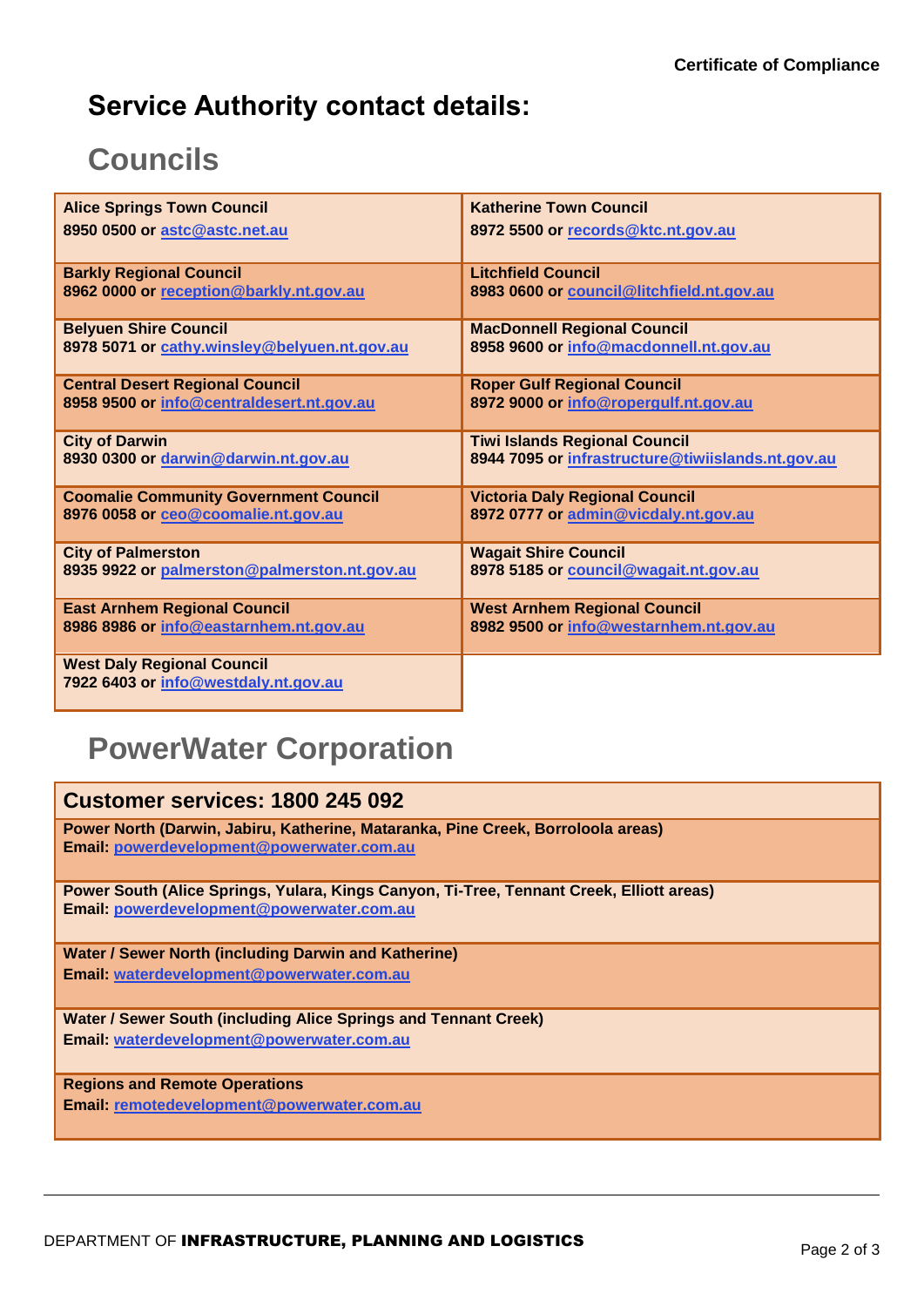### **Service Authority contact details:**

### **Councils**

| <b>Alice Springs Town Council</b>                                         | <b>Katherine Town Council</b>                     |
|---------------------------------------------------------------------------|---------------------------------------------------|
| 8950 0500 or astc@astc.net.au                                             | 8972 5500 or records@ktc.nt.gov.au                |
| <b>Barkly Regional Council</b>                                            | <b>Litchfield Council</b>                         |
| 8962 0000 or reception@barkly.nt.gov.au                                   | 8983 0600 or council@litchfield.nt.gov.au         |
| <b>Belyuen Shire Council</b>                                              | <b>MacDonnell Regional Council</b>                |
| 8978 5071 or cathy.winsley@belyuen.nt.gov.au                              | 8958 9600 or info@macdonnell.nt.gov.au            |
| <b>Central Desert Regional Council</b>                                    | <b>Roper Gulf Regional Council</b>                |
| 8958 9500 or info@centraldesert.nt.gov.au                                 | 8972 9000 or info@ropergulf.nt.gov.au             |
| <b>City of Darwin</b>                                                     | <b>Tiwi Islands Regional Council</b>              |
| 8930 0300 or darwin@darwin.nt.gov.au                                      | 8944 7095 or infrastructure@tiwiislands.nt.gov.au |
| <b>Coomalie Community Government Council</b>                              | <b>Victoria Daly Regional Council</b>             |
| 8976 0058 or ceo@coomalie.nt.gov.au                                       | 8972 0777 or admin@vicdaly.nt.gov.au              |
| <b>City of Palmerston</b>                                                 | <b>Wagait Shire Council</b>                       |
| 8935 9922 or palmerston@palmerston.nt.gov.au                              | 8978 5185 or council@wagait.nt.gov.au             |
| <b>East Arnhem Regional Council</b>                                       | <b>West Arnhem Regional Council</b>               |
| 8986 8986 or info@eastarnhem.nt.gov.au                                    | 8982 9500 or info@westarnhem.nt.gov.au            |
| <b>West Daly Regional Council</b><br>7922 6403 or info@westdaly.nt.gov.au |                                                   |

## **PowerWater Corporation**

| Customer services: 1800 245 092                                                                                                       |
|---------------------------------------------------------------------------------------------------------------------------------------|
| Power North (Darwin, Jabiru, Katherine, Mataranka, Pine Creek, Borroloola areas)<br>Email: powerdevelopment@powerwater.com.au         |
| Power South (Alice Springs, Yulara, Kings Canyon, Ti-Tree, Tennant Creek, Elliott areas)<br>Email: powerdevelopment@powerwater.com.au |
| Water / Sewer North (including Darwin and Katherine)                                                                                  |
| Email: waterdevelopment@powerwater.com.au                                                                                             |
| Water / Sewer South (including Alice Springs and Tennant Creek)                                                                       |
| Email: waterdevelopment@powerwater.com.au                                                                                             |
| <b>Regions and Remote Operations</b>                                                                                                  |
| Email: remotedevelopment@powerwater.com.au                                                                                            |